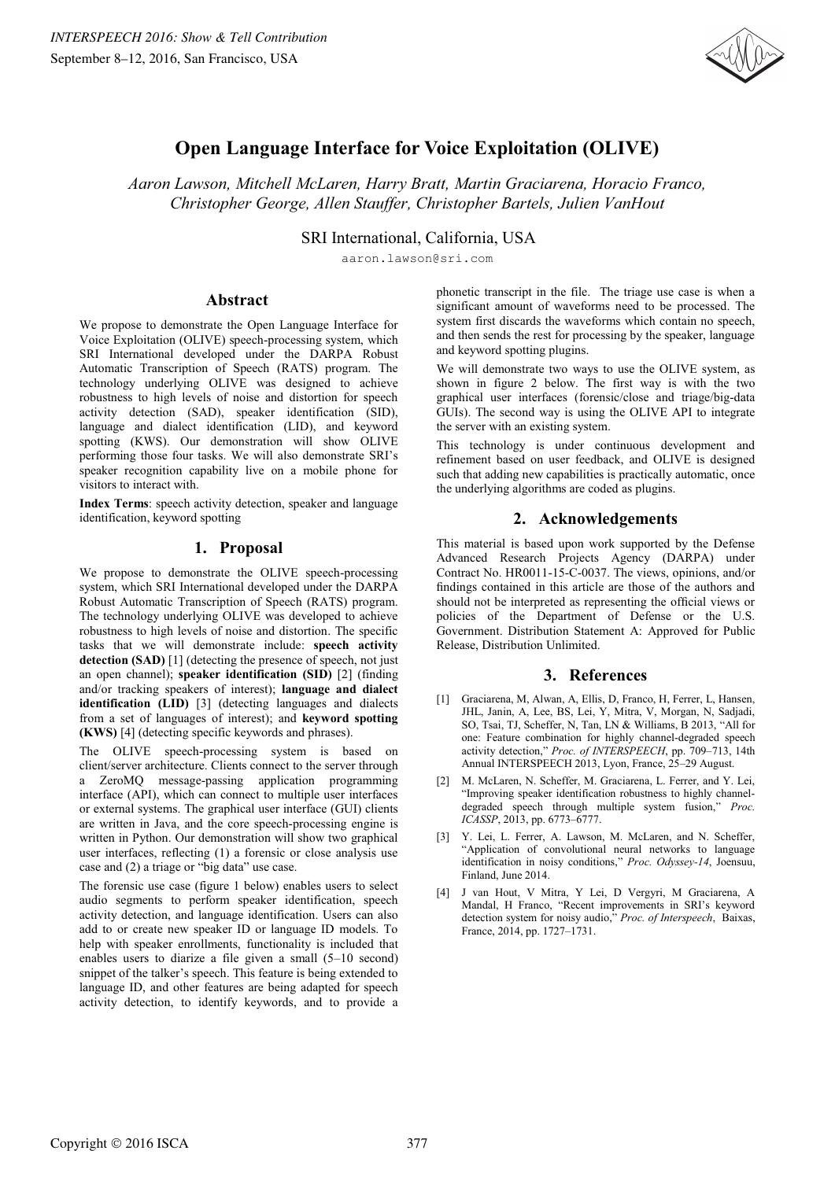

# **Open Language Interface for Voice Exploitation (OLIVE)**

*Aaron Lawson, Mitchell McLaren, Harry Bratt, Martin Graciarena, Horacio Franco, Christopher George, Allen Stauffer, Christopher Bartels, Julien VanHout*

SRI International, California, USA

aaron.lawson@sri.com

#### **Abstract**

We propose to demonstrate the Open Language Interface for Voice Exploitation (OLIVE) speech-processing system, which SRI International developed under the DARPA Robust Automatic Transcription of Speech (RATS) program. The technology underlying OLIVE was designed to achieve robustness to high levels of noise and distortion for speech activity detection (SAD), speaker identification (SID), language and dialect identification (LID), and keyword spotting (KWS). Our demonstration will show OLIVE performing those four tasks. We will also demonstrate SRI's speaker recognition capability live on a mobile phone for visitors to interact with.

**Index Terms**: speech activity detection, speaker and language identification, keyword spotting

# **1. Proposal**

We propose to demonstrate the OLIVE speech-processing system, which SRI International developed under the DARPA Robust Automatic Transcription of Speech (RATS) program. The technology underlying OLIVE was developed to achieve robustness to high levels of noise and distortion. The specific tasks that we will demonstrate include: **speech activity detection (SAD)** [1] (detecting the presence of speech, not just an open channel); **speaker identification (SID)** [2] (finding and/or tracking speakers of interest); **language and dialect identification (LID)** [3] (detecting languages and dialects from a set of languages of interest); and **keyword spotting (KWS)** [4] (detecting specific keywords and phrases).

The OLIVE speech-processing system is based on client/server architecture. Clients connect to the server through a ZeroMQ message-passing application programming interface (API), which can connect to multiple user interfaces or external systems. The graphical user interface (GUI) clients are written in Java, and the core speech-processing engine is written in Python. Our demonstration will show two graphical user interfaces, reflecting (1) a forensic or close analysis use case and (2) a triage or "big data" use case.

The forensic use case (figure 1 below) enables users to select audio segments to perform speaker identification, speech activity detection, and language identification. Users can also add to or create new speaker ID or language ID models. To help with speaker enrollments, functionality is included that enables users to diarize a file given a small (5–10 second) snippet of the talker's speech. This feature is being extended to language ID, and other features are being adapted for speech activity detection, to identify keywords, and to provide a phonetic transcript in the file. The triage use case is when a significant amount of waveforms need to be processed. The system first discards the waveforms which contain no speech, and then sends the rest for processing by the speaker, language and keyword spotting plugins.

We will demonstrate two ways to use the OLIVE system, as shown in figure 2 below. The first way is with the two graphical user interfaces (forensic/close and triage/big-data GUIs). The second way is using the OLIVE API to integrate the server with an existing system.

This technology is under continuous development and refinement based on user feedback, and OLIVE is designed such that adding new capabilities is practically automatic, once the underlying algorithms are coded as plugins.

# **2. Acknowledgements**

This material is based upon work supported by the Defense Advanced Research Projects Agency (DARPA) under Contract No. HR0011-15-C-0037. The views, opinions, and/or findings contained in this article are those of the authors and should not be interpreted as representing the official views or policies of the Department of Defense or the U.S. Government. Distribution Statement A: Approved for Public Release, Distribution Unlimited.

# **3. References**

- [1] Graciarena, M, Alwan, A, Ellis, D, Franco, H, Ferrer, L, Hansen, JHL, Janin, A, Lee, BS, Lei, Y, Mitra, V, Morgan, N, Sadjadi, SO, Tsai, TJ, Scheffer, N, Tan, LN & Williams, B 2013, "All for one: Feature combination for highly channel-degraded speech activity detection," *Proc. of INTERSPEECH*, pp. 709–713, 14th Annual INTERSPEECH 2013, Lyon, France, 25–29 August.
- [2] M. McLaren, N. Scheffer, M. Graciarena, L. Ferrer, and Y. Lei, "Improving speaker identification robustness to highly channeldegraded speech through multiple system fusion," *Proc. ICASSP*, 2013, pp. 6773–6777.
- [3] Y. Lei, L. Ferrer, A. Lawson, M. McLaren, and N. Scheffer, "Application of convolutional neural networks to language identification in noisy conditions," *Proc. Odyssey-14*, Joensuu, Finland, June 2014.
- [4] J van Hout, V Mitra, Y Lei, D Vergyri, M Graciarena, A Mandal, H Franco, "Recent improvements in SRI's keyword detection system for noisy audio," *Proc. of Interspeech*, Baixas, France, 2014, pp. 1727–1731.